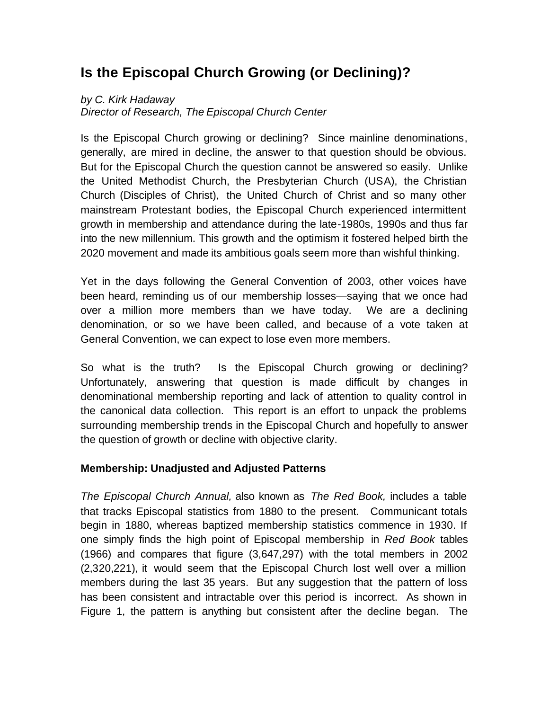# **Is the Episcopal Church Growing (or Declining)?**

## *by C. Kirk Hadaway*

*Director of Research, The Episcopal Church Center*

Is the Episcopal Church growing or declining? Since mainline denominations, generally, are mired in decline, the answer to that question should be obvious. But for the Episcopal Church the question cannot be answered so easily. Unlike the United Methodist Church, the Presbyterian Church (USA), the Christian Church (Disciples of Christ), the United Church of Christ and so many other mainstream Protestant bodies, the Episcopal Church experienced intermittent growth in membership and attendance during the late-1980s, 1990s and thus far into the new millennium. This growth and the optimism it fostered helped birth the 2020 movement and made its ambitious goals seem more than wishful thinking.

Yet in the days following the General Convention of 2003, other voices have been heard, reminding us of our membership losses—saying that we once had over a million more members than we have today. We are a declining denomination, or so we have been called, and because of a vote taken at General Convention, we can expect to lose even more members.

So what is the truth? Is the Episcopal Church growing or declining? Unfortunately, answering that question is made difficult by changes in denominational membership reporting and lack of attention to quality control in the canonical data collection. This report is an effort to unpack the problems surrounding membership trends in the Episcopal Church and hopefully to answer the question of growth or decline with objective clarity.

### **Membership: Unadjusted and Adjusted Patterns**

*The Episcopal Church Annual,* also known as *The Red Book,* includes a table that tracks Episcopal statistics from 1880 to the present. Communicant totals begin in 1880, whereas baptized membership statistics commence in 1930. If one simply finds the high point of Episcopal membership in *Red Book* tables (1966) and compares that figure (3,647,297) with the total members in 2002 (2,320,221), it would seem that the Episcopal Church lost well over a million members during the last 35 years. But any suggestion that the pattern of loss has been consistent and intractable over this period is incorrect. As shown in Figure 1, the pattern is anything but consistent after the decline began. The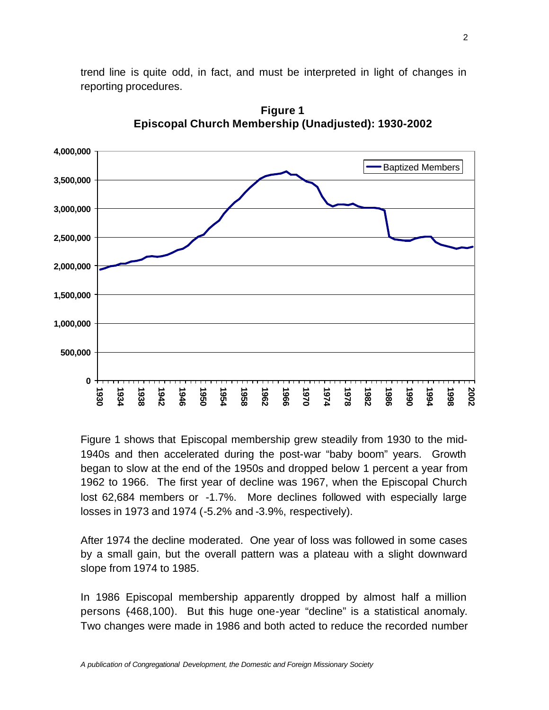trend line is quite odd, in fact, and must be interpreted in light of changes in reporting procedures.



**Figure 1 Episcopal Church Membership (Unadjusted): 1930-2002**

 Figure 1 shows that Episcopal membership grew steadily from 1930 to the mid-1940s and then accelerated during the post-war "baby boom" years. Growth began to slow at the end of the 1950s and dropped below 1 percent a year from 1962 to 1966. The first year of decline was 1967, when the Episcopal Church lost 62,684 members or -1.7%. More declines followed with especially large losses in 1973 and 1974 (-5.2% and -3.9%, respectively).

After 1974 the decline moderated. One year of loss was followed in some cases by a small gain, but the overall pattern was a plateau with a slight downward slope from 1974 to 1985.

In 1986 Episcopal membership apparently dropped by almost half a million persons (-468,100). But this huge one-year "decline" is a statistical anomaly. Two changes were made in 1986 and both acted to reduce the recorded number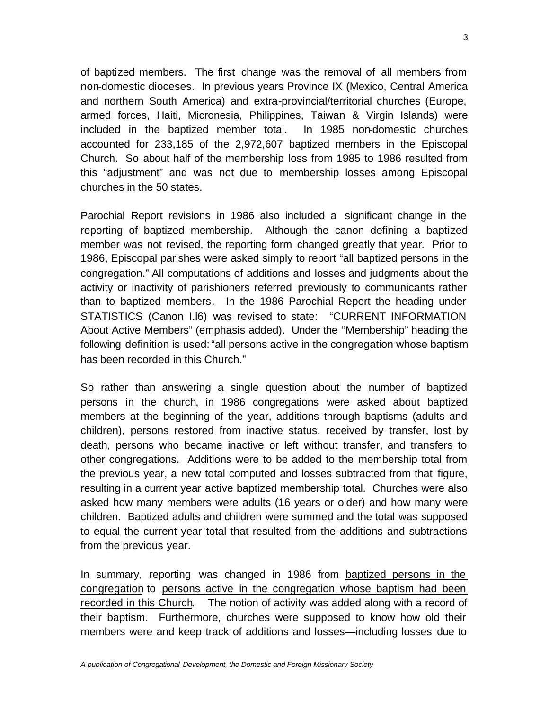of baptized members. The first change was the removal of all members from non-domestic dioceses. In previous years Province IX (Mexico, Central America and northern South America) and extra-provincial/territorial churches (Europe, armed forces, Haiti, Micronesia, Philippines, Taiwan & Virgin Islands) were included in the baptized member total. In 1985 non-domestic churches accounted for 233,185 of the 2,972,607 baptized members in the Episcopal Church. So about half of the membership loss from 1985 to 1986 resulted from this "adjustment" and was not due to membership losses among Episcopal churches in the 50 states.

Parochial Report revisions in 1986 also included a significant change in the reporting of baptized membership. Although the canon defining a baptized member was not revised, the reporting form changed greatly that year. Prior to 1986, Episcopal parishes were asked simply to report "all baptized persons in the congregation." All computations of additions and losses and judgments about the activity or inactivity of parishioners referred previously to communicants rather than to baptized members. In the 1986 Parochial Report the heading under STATISTICS (Canon I.l6) was revised to state: "CURRENT INFORMATION About Active Members" (emphasis added). Under the "Membership" heading the following definition is used: "all persons active in the congregation whose baptism has been recorded in this Church."

So rather than answering a single question about the number of baptized persons in the church, in 1986 congregations were asked about baptized members at the beginning of the year, additions through baptisms (adults and children), persons restored from inactive status, received by transfer, lost by death, persons who became inactive or left without transfer, and transfers to other congregations. Additions were to be added to the membership total from the previous year, a new total computed and losses subtracted from that figure, resulting in a current year active baptized membership total. Churches were also asked how many members were adults (16 years or older) and how many were children. Baptized adults and children were summed and the total was supposed to equal the current year total that resulted from the additions and subtractions from the previous year.

In summary, reporting was changed in 1986 from baptized persons in the congregation to persons active in the congregation whose baptism had been recorded in this Church. The notion of activity was added along with a record of their baptism. Furthermore, churches were supposed to know how old their members were and keep track of additions and losses—including losses due to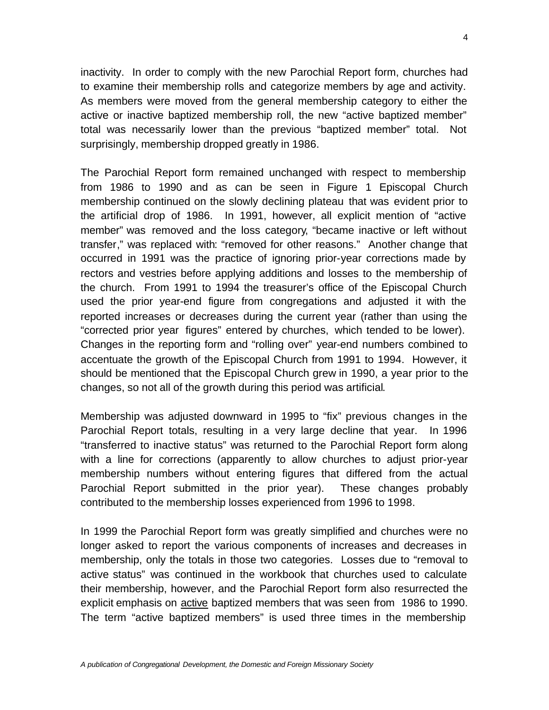inactivity. In order to comply with the new Parochial Report form, churches had to examine their membership rolls and categorize members by age and activity. As members were moved from the general membership category to either the active or inactive baptized membership roll, the new "active baptized member" total was necessarily lower than the previous "baptized member" total. Not surprisingly, membership dropped greatly in 1986.

The Parochial Report form remained unchanged with respect to membership from 1986 to 1990 and as can be seen in Figure 1 Episcopal Church membership continued on the slowly declining plateau that was evident prior to the artificial drop of 1986. In 1991, however, all explicit mention of "active member" was removed and the loss category, "became inactive or left without transfer," was replaced with: "removed for other reasons." Another change that occurred in 1991 was the practice of ignoring prior-year corrections made by rectors and vestries before applying additions and losses to the membership of the church. From 1991 to 1994 the treasurer's office of the Episcopal Church used the prior year-end figure from congregations and adjusted it with the reported increases or decreases during the current year (rather than using the "corrected prior year figures" entered by churches, which tended to be lower). Changes in the reporting form and "rolling over" year-end numbers combined to accentuate the growth of the Episcopal Church from 1991 to 1994. However, it should be mentioned that the Episcopal Church grew in 1990, a year prior to the changes, so not all of the growth during this period was artificial.

Membership was adjusted downward in 1995 to "fix" previous changes in the Parochial Report totals, resulting in a very large decline that year. In 1996 "transferred to inactive status" was returned to the Parochial Report form along with a line for corrections (apparently to allow churches to adjust prior-year membership numbers without entering figures that differed from the actual Parochial Report submitted in the prior year). These changes probably contributed to the membership losses experienced from 1996 to 1998.

In 1999 the Parochial Report form was greatly simplified and churches were no longer asked to report the various components of increases and decreases in membership, only the totals in those two categories. Losses due to "removal to active status" was continued in the workbook that churches used to calculate their membership, however, and the Parochial Report form also resurrected the explicit emphasis on active baptized members that was seen from 1986 to 1990. The term "active baptized members" is used three times in the membership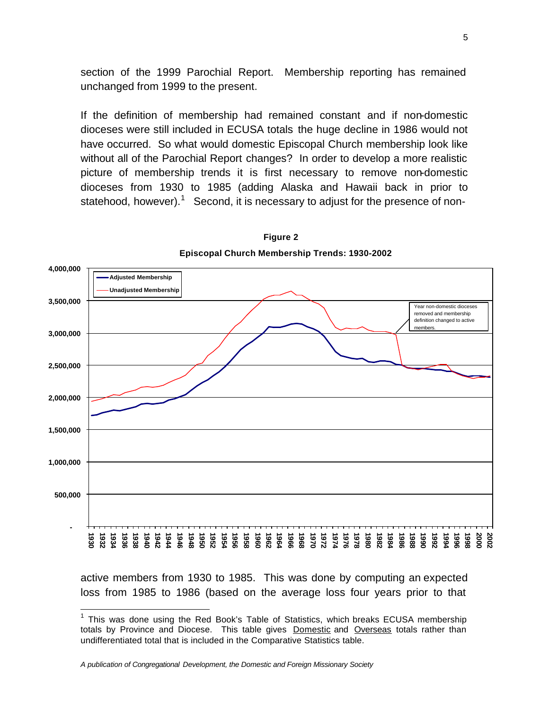section of the 1999 Parochial Report. Membership reporting has remained unchanged from 1999 to the present.

If the definition of membership had remained constant and if non-domestic dioceses were still included in ECUSA totals the huge decline in 1986 would not have occurred. So what would domestic Episcopal Church membership look like without all of the Parochial Report changes? In order to develop a more realistic picture of membership trends it is first necessary to remove non-domestic dioceses from 1930 to 1985 (adding Alaska and Hawaii back in prior to statehood, however).<sup>1</sup> Second, it is necessary to adjust for the presence of non-



**Episcopal Church Membership Trends: 1930-2002 Figure 2**

active members from 1930 to 1985. This was done by computing an expected loss from 1985 to 1986 (based on the average loss four years prior to that

 $\overline{a}$ 

<sup>&</sup>lt;sup>1</sup> This was done using the Red Book's Table of Statistics, which breaks ECUSA membership totals by Province and Diocese. This table gives **Domestic and Overseas** totals rather than undifferentiated total that is included in the Comparative Statistics table.

*A publication of Congregational Development, the Domestic and Foreign Missionary Society*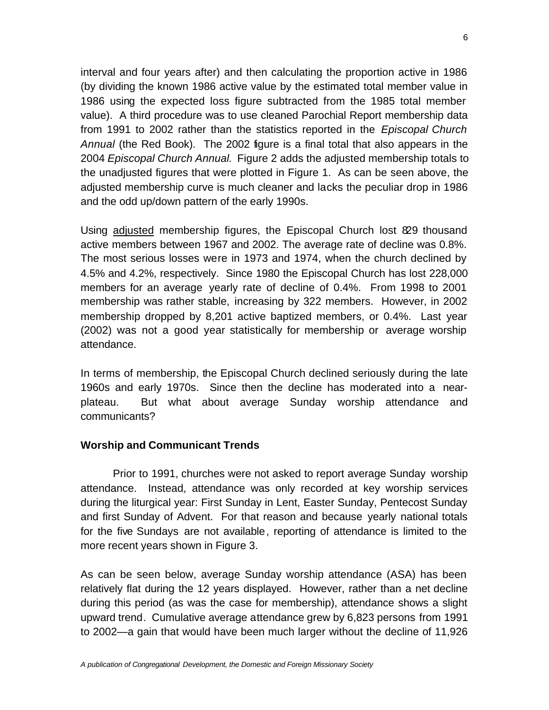interval and four years after) and then calculating the proportion active in 1986 (by dividing the known 1986 active value by the estimated total member value in 1986 using the expected loss figure subtracted from the 1985 total member value). A third procedure was to use cleaned Parochial Report membership data from 1991 to 2002 rather than the statistics reported in the *Episcopal Church Annual* (the Red Book). The 2002 figure is a final total that also appears in the 2004 *Episcopal Church Annual.* Figure 2 adds the adjusted membership totals to the unadjusted figures that were plotted in Figure 1. As can be seen above, the adjusted membership curve is much cleaner and lacks the peculiar drop in 1986 and the odd up/down pattern of the early 1990s.

Using adjusted membership figures, the Episcopal Church lost 829 thousand active members between 1967 and 2002. The average rate of decline was 0.8%. The most serious losses were in 1973 and 1974, when the church declined by 4.5% and 4.2%, respectively. Since 1980 the Episcopal Church has lost 228,000 members for an average yearly rate of decline of 0.4%. From 1998 to 2001 membership was rather stable, increasing by 322 members. However, in 2002 membership dropped by 8,201 active baptized members, or 0.4%. Last year (2002) was not a good year statistically for membership or average worship attendance.

In terms of membership, the Episcopal Church declined seriously during the late 1960s and early 1970s. Since then the decline has moderated into a nearplateau. But what about average Sunday worship attendance and communicants?

#### **Worship and Communicant Trends**

Prior to 1991, churches were not asked to report average Sunday worship attendance. Instead, attendance was only recorded at key worship services during the liturgical year: First Sunday in Lent, Easter Sunday, Pentecost Sunday and first Sunday of Advent. For that reason and because yearly national totals for the five Sundays are not available, reporting of attendance is limited to the more recent years shown in Figure 3.

As can be seen below, average Sunday worship attendance (ASA) has been relatively flat during the 12 years displayed. However, rather than a net decline during this period (as was the case for membership), attendance shows a slight upward trend. Cumulative average attendance grew by 6,823 persons from 1991 to 2002—a gain that would have been much larger without the decline of 11,926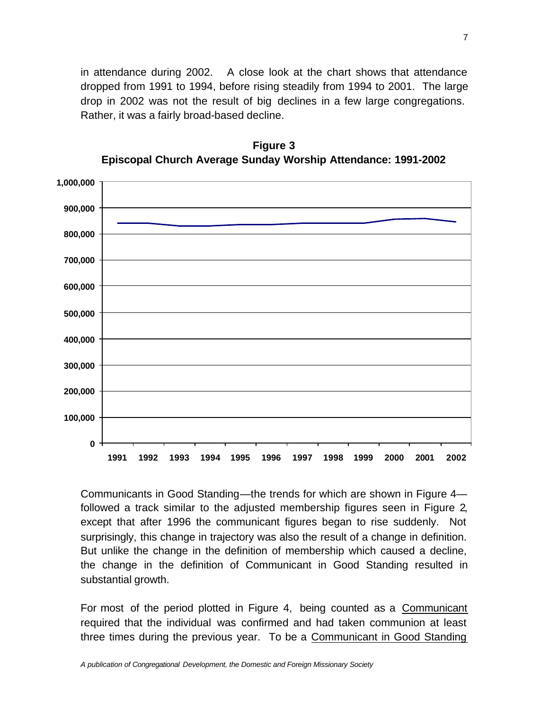in attendance during 2002. A close look at the chart shows that attendance dropped from 1991 to 1994, before rising steadily from 1994 to 2001. The large drop in 2002 was not the result of big declines in a few large congregations. Rather, it was a fairly broad-based decline.



**Figure 3 Episcopal Church Average Sunday Worship Attendance: 1991-2002**

Communicants in Good Standing—the trends for which are shown in Figure 4 followed a track similar to the adjusted membership figures seen in Figure 2, except that after 1996 the communicant figures began to rise suddenly. Not surprisingly, this change in trajectory was also the result of a change in definition. But unlike the change in the definition of membership which caused a decline, the change in the definition of Communicant in Good Standing resulted in substantial growth.

For most of the period plotted in Figure 4, being counted as a Communicant required that the individual was confirmed and had taken communion at least three times during the previous year. To be a Communicant in Good Standing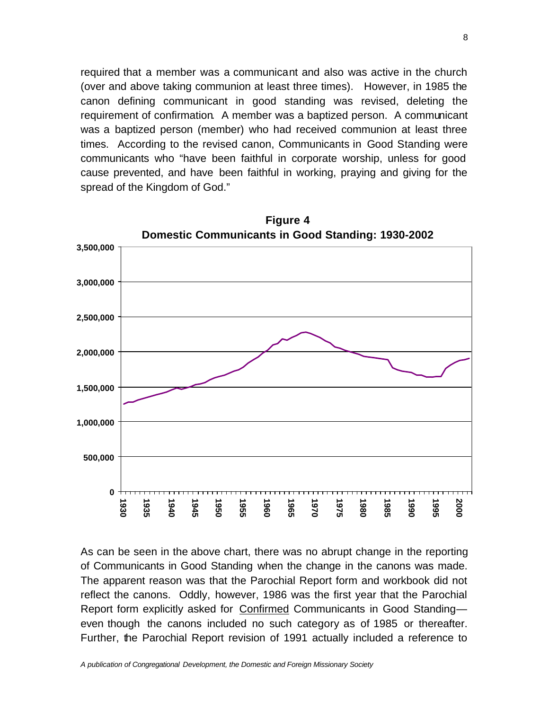required that a member was a communicant and also was active in the church (over and above taking communion at least three times). However, in 1985 the canon defining communicant in good standing was revised, deleting the requirement of confirmation. A member was a baptized person. A communicant was a baptized person (member) who had received communion at least three times. According to the revised canon, Communicants in Good Standing were communicants who "have been faithful in corporate worship, unless for good cause prevented, and have been faithful in working, praying and giving for the spread of the Kingdom of God."



As can be seen in the above chart, there was no abrupt change in the reporting of Communicants in Good Standing when the change in the canons was made. The apparent reason was that the Parochial Report form and workbook did not reflect the canons. Oddly, however, 1986 was the first year that the Parochial Report form explicitly asked for Confirmed Communicants in Good Standing even though the canons included no such category as of 1985 or thereafter. Further, the Parochial Report revision of 1991 actually included a reference to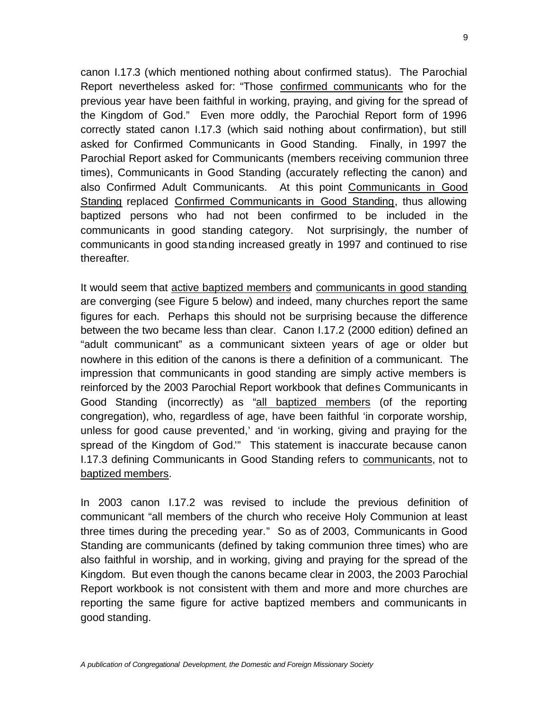canon I.17.3 (which mentioned nothing about confirmed status). The Parochial Report nevertheless asked for: "Those confirmed communicants who for the previous year have been faithful in working, praying, and giving for the spread of the Kingdom of God." Even more oddly, the Parochial Report form of 1996 correctly stated canon I.17.3 (which said nothing about confirmation), but still asked for Confirmed Communicants in Good Standing. Finally, in 1997 the Parochial Report asked for Communicants (members receiving communion three times), Communicants in Good Standing (accurately reflecting the canon) and also Confirmed Adult Communicants. At this point Communicants in Good Standing replaced Confirmed Communicants in Good Standing, thus allowing baptized persons who had not been confirmed to be included in the communicants in good standing category. Not surprisingly, the number of communicants in good standing increased greatly in 1997 and continued to rise thereafter.

It would seem that active baptized members and communicants in good standing are converging (see Figure 5 below) and indeed, many churches report the same figures for each. Perhaps this should not be surprising because the difference between the two became less than clear. Canon I.17.2 (2000 edition) defined an "adult communicant" as a communicant sixteen years of age or older but nowhere in this edition of the canons is there a definition of a communicant. The impression that communicants in good standing are simply active members is reinforced by the 2003 Parochial Report workbook that defines Communicants in Good Standing (incorrectly) as "all baptized members (of the reporting congregation), who, regardless of age, have been faithful 'in corporate worship, unless for good cause prevented,' and 'in working, giving and praying for the spread of the Kingdom of God.'" This statement is inaccurate because canon I.17.3 defining Communicants in Good Standing refers to communicants, not to baptized members.

In 2003 canon I.17.2 was revised to include the previous definition of communicant "all members of the church who receive Holy Communion at least three times during the preceding year." So as of 2003, Communicants in Good Standing are communicants (defined by taking communion three times) who are also faithful in worship, and in working, giving and praying for the spread of the Kingdom. But even though the canons became clear in 2003, the 2003 Parochial Report workbook is not consistent with them and more and more churches are reporting the same figure for active baptized members and communicants in good standing.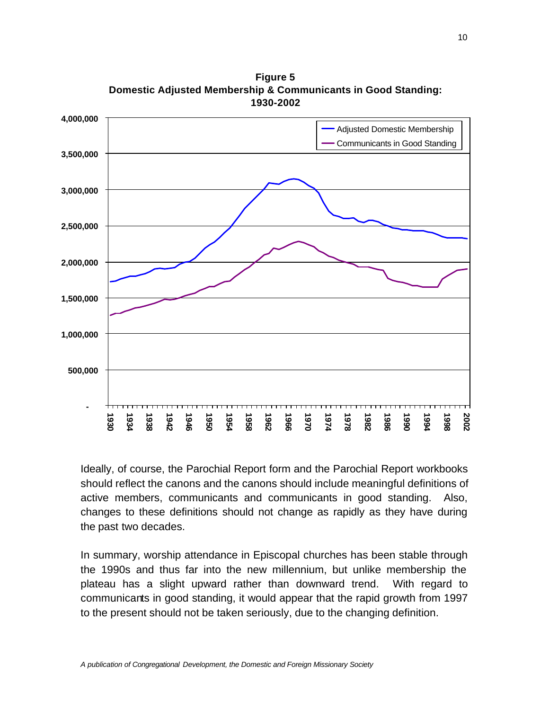

**Figure 5 Domestic Adjusted Membership & Communicants in Good Standing: 1930-2002**

Ideally, of course, the Parochial Report form and the Parochial Report workbooks should reflect the canons and the canons should include meaningful definitions of active members, communicants and communicants in good standing. Also, changes to these definitions should not change as rapidly as they have during the past two decades.

In summary, worship attendance in Episcopal churches has been stable through the 1990s and thus far into the new millennium, but unlike membership the plateau has a slight upward rather than downward trend. With regard to communicants in good standing, it would appear that the rapid growth from 1997 to the present should not be taken seriously, due to the changing definition.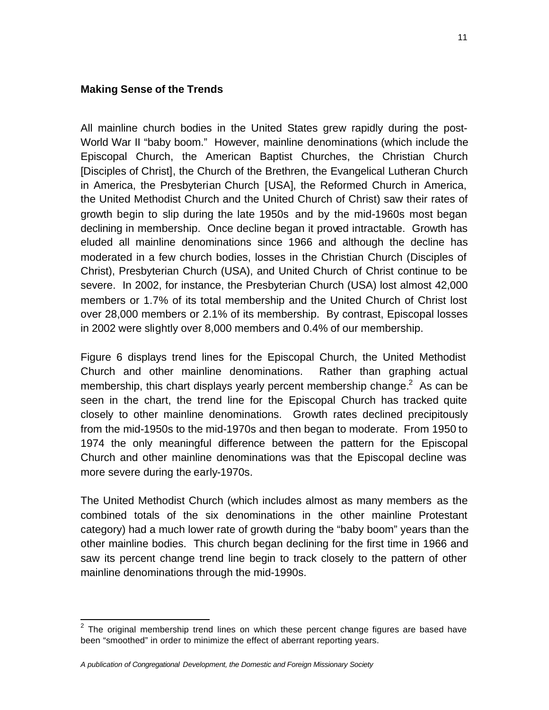#### **Making Sense of the Trends**

All mainline church bodies in the United States grew rapidly during the post-World War II "baby boom." However, mainline denominations (which include the Episcopal Church, the American Baptist Churches, the Christian Church [Disciples of Christ], the Church of the Brethren, the Evangelical Lutheran Church in America, the Presbyterian Church [USA], the Reformed Church in America, the United Methodist Church and the United Church of Christ) saw their rates of growth begin to slip during the late 1950s and by the mid-1960s most began declining in membership. Once decline began it proved intractable. Growth has eluded all mainline denominations since 1966 and although the decline has moderated in a few church bodies, losses in the Christian Church (Disciples of Christ), Presbyterian Church (USA), and United Church of Christ continue to be severe. In 2002, for instance, the Presbyterian Church (USA) lost almost 42,000 members or 1.7% of its total membership and the United Church of Christ lost over 28,000 members or 2.1% of its membership. By contrast, Episcopal losses in 2002 were slightly over 8,000 members and 0.4% of our membership.

Figure 6 displays trend lines for the Episcopal Church, the United Methodist Church and other mainline denominations. Rather than graphing actual membership, this chart displays yearly percent membership change.<sup>2</sup> As can be seen in the chart, the trend line for the Episcopal Church has tracked quite closely to other mainline denominations. Growth rates declined precipitously from the mid-1950s to the mid-1970s and then began to moderate. From 1950 to 1974 the only meaningful difference between the pattern for the Episcopal Church and other mainline denominations was that the Episcopal decline was more severe during the early-1970s.

The United Methodist Church (which includes almost as many members as the combined totals of the six denominations in the other mainline Protestant category) had a much lower rate of growth during the "baby boom" years than the other mainline bodies. This church began declining for the first time in 1966 and saw its percent change trend line begin to track closely to the pattern of other mainline denominations through the mid-1990s.

The original membership trend lines on which these percent change figures are based have been "smoothed" in order to minimize the effect of aberrant reporting years.

*A publication of Congregational Development, the Domestic and Foreign Missionary Society*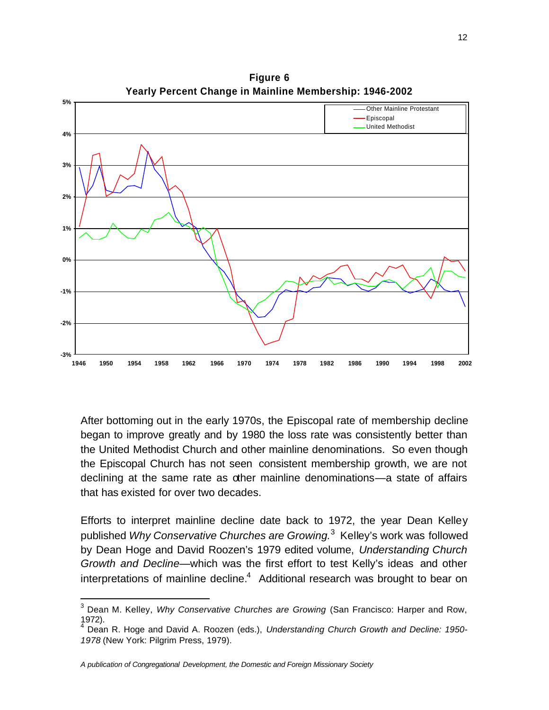

**Figure 6**

After bottoming out in the early 1970s, the Episcopal rate of membership decline began to improve greatly and by 1980 the loss rate was consistently better than the United Methodist Church and other mainline denominations. So even though the Episcopal Church has not seen consistent membership growth, we are not declining at the same rate as other mainline denominations—a state of affairs that has existed for over two decades.

Efforts to interpret mainline decline date back to 1972, the year Dean Kelley published *Why Conservative Churches are Growing.* 3 Kelley's work was followed by Dean Hoge and David Roozen's 1979 edited volume, *Understanding Church Growth and Decline*—which was the first effort to test Kelly's ideas and other interpretations of mainline decline. $4$  Additional research was brought to bear on

 3 Dean M. Kelley, *Why Conservative Churches are Growing* (San Francisco: Harper and Row, 1972).

<sup>4</sup> Dean R. Hoge and David A. Roozen (eds.), *Understanding Church Growth and Decline: 1950- 1978* (New York: Pilgrim Press, 1979).

*A publication of Congregational Development, the Domestic and Foreign Missionary Society*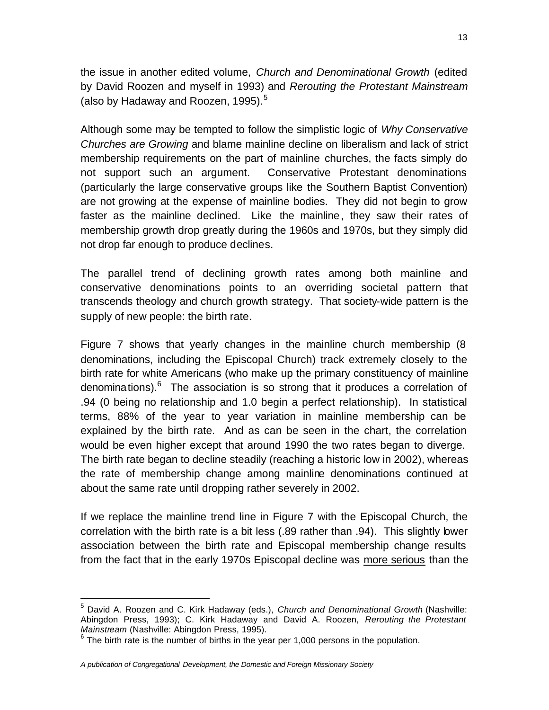the issue in another edited volume, *Church and Denominational Growth* (edited by David Roozen and myself in 1993) and *Rerouting the Protestant Mainstream* (also by Hadaway and Roozen, 1995).<sup>5</sup>

Although some may be tempted to follow the simplistic logic of *Why Conservative Churches are Growing* and blame mainline decline on liberalism and lack of strict membership requirements on the part of mainline churches, the facts simply do not support such an argument. Conservative Protestant denominations (particularly the large conservative groups like the Southern Baptist Convention) are not growing at the expense of mainline bodies. They did not begin to grow faster as the mainline declined. Like the mainline, they saw their rates of membership growth drop greatly during the 1960s and 1970s, but they simply did not drop far enough to produce declines.

The parallel trend of declining growth rates among both mainline and conservative denominations points to an overriding societal pattern that transcends theology and church growth strategy. That society-wide pattern is the supply of new people: the birth rate.

Figure 7 shows that yearly changes in the mainline church membership (8 denominations, including the Episcopal Church) track extremely closely to the birth rate for white Americans (who make up the primary constituency of mainline denominations). $^{6}$  The association is so strong that it produces a correlation of .94 (0 being no relationship and 1.0 begin a perfect relationship). In statistical terms, 88% of the year to year variation in mainline membership can be explained by the birth rate. And as can be seen in the chart, the correlation would be even higher except that around 1990 the two rates began to diverge. The birth rate began to decline steadily (reaching a historic low in 2002), whereas the rate of membership change among mainline denominations continued at about the same rate until dropping rather severely in 2002.

If we replace the mainline trend line in Figure 7 with the Episcopal Church, the correlation with the birth rate is a bit less (.89 rather than .94). This slightly lower association between the birth rate and Episcopal membership change results from the fact that in the early 1970s Episcopal decline was more serious than the

 $\overline{a}$ 

<sup>5</sup> David A. Roozen and C. Kirk Hadaway (eds.), *Church and Denominational Growth* (Nashville: Abingdon Press, 1993); C. Kirk Hadaway and David A. Roozen, *Rerouting the Protestant Mainstream* (Nashville: Abingdon Press, 1995).

 $6$  The birth rate is the number of births in the year per 1,000 persons in the population.

*A publication of Congregational Development, the Domestic and Foreign Missionary Society*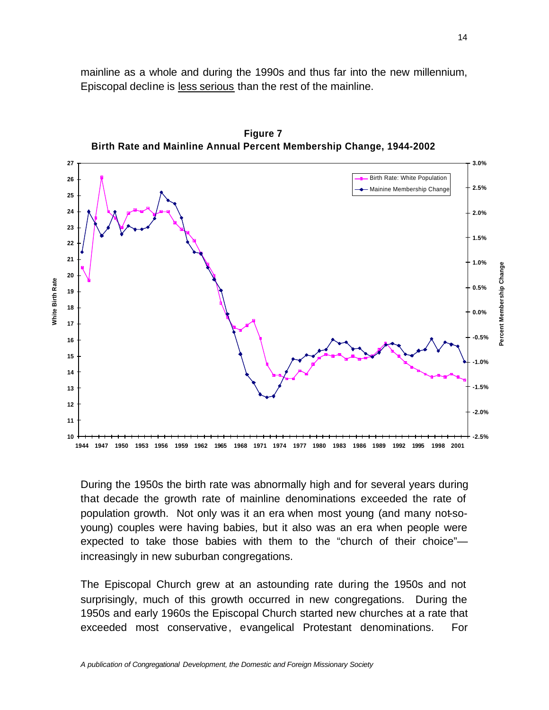mainline as a whole and during the 1990s and thus far into the new millennium, Episcopal decline is less serious than the rest of the mainline.

**27 3.0%** Birth Rate: White Population **26 2.5%** Mainine Membership Change **25 24 2.0% 23 1.5% 22 21 1.0%** Percent Membership Change **Percent Membership Change 20 White Birth Rate White Birth Rate 0.5% 19 18 0.0% 17 -0.5% 16 15 -1.0% 14 -1.5% 13 12 -2.0% 11 10 -2.5%** 1944 1947 1950 1953 1956 1959 1962 1965 1968 1971 1974 1977 1980 1983 1986 1989 1992 1995 1998 2001

**Figure 7 Birth Rate and Mainline Annual Percent Membership Change, 1944-2002**

During the 1950s the birth rate was abnormally high and for several years during that decade the growth rate of mainline denominations exceeded the rate of population growth. Not only was it an era when most young (and many not-soyoung) couples were having babies, but it also was an era when people were expected to take those babies with them to the "church of their choice" increasingly in new suburban congregations.

The Episcopal Church grew at an astounding rate during the 1950s and not surprisingly, much of this growth occurred in new congregations. During the 1950s and early 1960s the Episcopal Church started new churches at a rate that exceeded most conservative, evangelical Protestant denominations. For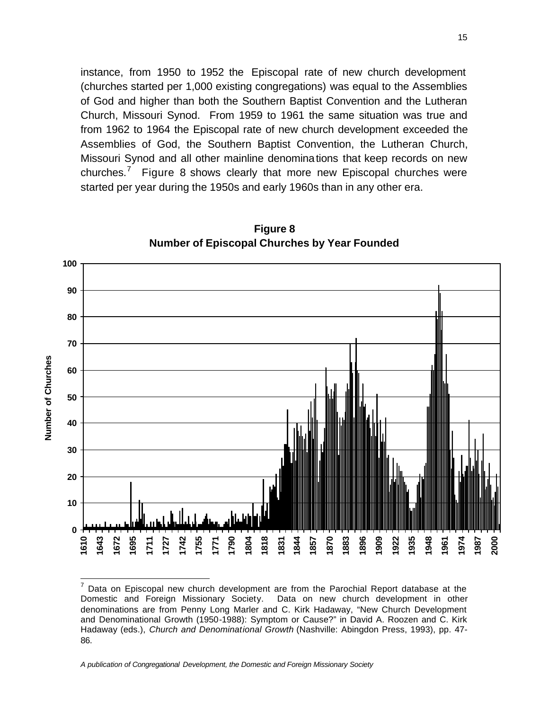instance, from 1950 to 1952 the Episcopal rate of new church development (churches started per 1,000 existing congregations) was equal to the Assemblies of God and higher than both the Southern Baptist Convention and the Lutheran Church, Missouri Synod. From 1959 to 1961 the same situation was true and from 1962 to 1964 the Episcopal rate of new church development exceeded the Assemblies of God, the Southern Baptist Convention, the Lutheran Church, Missouri Synod and all other mainline denominations that keep records on new churches.<sup>7</sup> Figure 8 shows clearly that more new Episcopal churches were started per year during the 1950s and early 1960s than in any other era.



**Figure 8 Number of Episcopal Churches by Year Founded**

*A publication of Congregational Development, the Domestic and Foreign Missionary Society*

 $\overline{a}$ 

 $<sup>7</sup>$  Data on Episcopal new church development are from the Parochial Report database at the</sup> Domestic and Foreign Missionary Society. Data on new church development in other denominations are from Penny Long Marler and C. Kirk Hadaway, "New Church Development and Denominational Growth (1950-1988): Symptom or Cause?" in David A. Roozen and C. Kirk Hadaway (eds.), *Church and Denominational Growth* (Nashville: Abingdon Press, 1993), pp. 47- 86.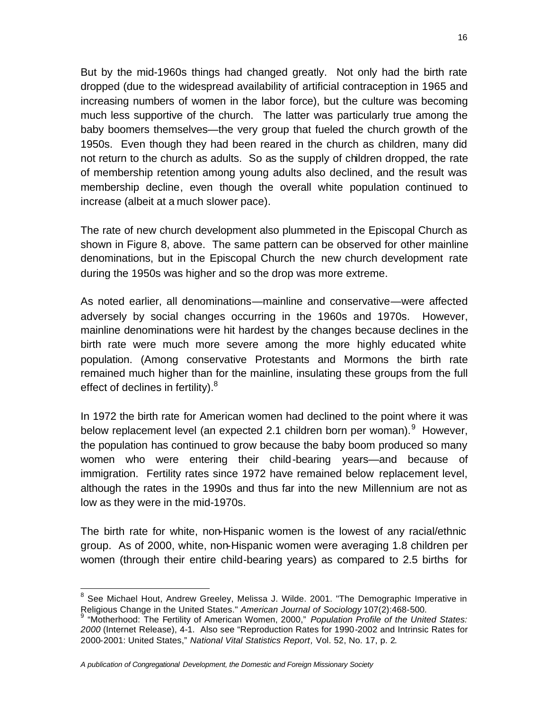But by the mid-1960s things had changed greatly. Not only had the birth rate dropped (due to the widespread availability of artificial contraception in 1965 and increasing numbers of women in the labor force), but the culture was becoming much less supportive of the church. The latter was particularly true among the baby boomers themselves—the very group that fueled the church growth of the 1950s. Even though they had been reared in the church as children, many did not return to the church as adults. So as the supply of children dropped, the rate of membership retention among young adults also declined, and the result was membership decline, even though the overall white population continued to increase (albeit at a much slower pace).

The rate of new church development also plummeted in the Episcopal Church as shown in Figure 8, above. The same pattern can be observed for other mainline denominations, but in the Episcopal Church the new church development rate during the 1950s was higher and so the drop was more extreme.

As noted earlier, all denominations—mainline and conservative—were affected adversely by social changes occurring in the 1960s and 1970s. However, mainline denominations were hit hardest by the changes because declines in the birth rate were much more severe among the more highly educated white population. (Among conservative Protestants and Mormons the birth rate remained much higher than for the mainline, insulating these groups from the full effect of declines in fertility). $8$ 

In 1972 the birth rate for American women had declined to the point where it was below replacement level (an expected 2.1 children born per woman). <sup>9</sup> However, the population has continued to grow because the baby boom produced so many women who were entering their child-bearing years—and because of immigration. Fertility rates since 1972 have remained below replacement level, although the rates in the 1990s and thus far into the new Millennium are not as low as they were in the mid-1970s.

The birth rate for white, non-Hispanic women is the lowest of any racial/ethnic group. As of 2000, white, non-Hispanic women were averaging 1.8 children per women (through their entire child-bearing years) as compared to 2.5 births for

<sup>&</sup>lt;u>estand the mondities of the mondities of the metal</u><br>Intervals of the Demographic Imperative in the See Michael on the See Michael in the See Michael Hout, Andrew Greeley, Melissa J. Wilde. 2001. "The Demographic Imperativ

Religious Change in the United States." *American Journal of Sociology* 107(2):468-500. 9 "Motherhood: The Fertility of American Women, 2000," *Population Profile of the United States: 2000* (Internet Release), 4-1. Also see "Reproduction Rates for 1990-2002 and Intrinsic Rates for 2000-2001: United States," *National Vital Statistics Report,* Vol. 52, No. 17, p. 2.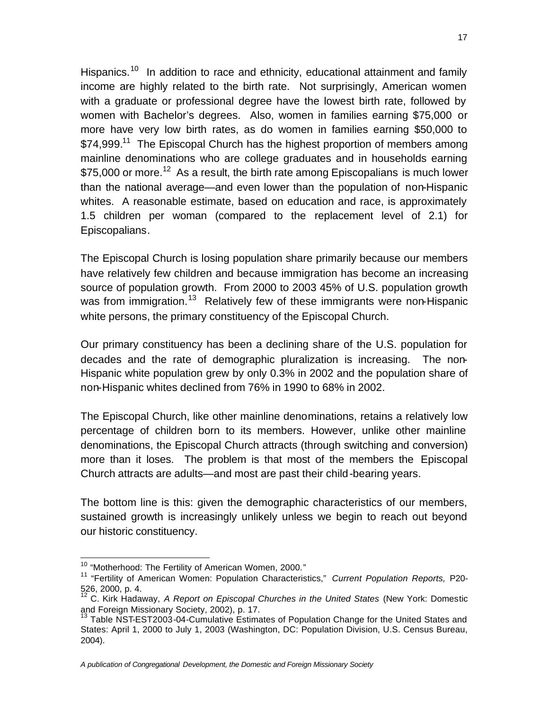Hispanics.<sup>10</sup> In addition to race and ethnicity, educational attainment and family income are highly related to the birth rate. Not surprisingly, American women with a graduate or professional degree have the lowest birth rate, followed by women with Bachelor's degrees. Also, women in families earning \$75,000 or more have very low birth rates, as do women in families earning \$50,000 to \$74,999.<sup>11</sup> The Episcopal Church has the highest proportion of members among mainline denominations who are college graduates and in households earning \$75,000 or more.<sup>12</sup> As a result, the birth rate among Episcopalians is much lower than the national average—and even lower than the population of non-Hispanic whites. A reasonable estimate, based on education and race, is approximately 1.5 children per woman (compared to the replacement level of 2.1) for Episcopalians.

The Episcopal Church is losing population share primarily because our members have relatively few children and because immigration has become an increasing source of population growth. From 2000 to 2003 45% of U.S. population growth was from immigration.<sup>13</sup> Relatively few of these immigrants were non-Hispanic white persons, the primary constituency of the Episcopal Church.

Our primary constituency has been a declining share of the U.S. population for decades and the rate of demographic pluralization is increasing. The non-Hispanic white population grew by only 0.3% in 2002 and the population share of non-Hispanic whites declined from 76% in 1990 to 68% in 2002.

The Episcopal Church, like other mainline denominations, retains a relatively low percentage of children born to its members. However, unlike other mainline denominations, the Episcopal Church attracts (through switching and conversion) more than it loses. The problem is that most of the members the Episcopal Church attracts are adults—and most are past their child-bearing years.

The bottom line is this: given the demographic characteristics of our members, sustained growth is increasingly unlikely unless we begin to reach out beyond our historic constituency.

 $\overline{a}$ 

*A publication of Congregational Development, the Domestic and Foreign Missionary Society*

<sup>&</sup>lt;sup>10</sup> "Motherhood: The Fertility of American Women, 2000."

<sup>11</sup> "Fertility of American Women: Population Characteristics," *Current Population Reports,* P20- 526, 2000, p. 4.

<sup>12</sup> C. Kirk Hadaway, *A Report on Episcopal Churches in the United States* (New York: Domestic and Foreign Missionary Society, 2002), p. 17.

<sup>&</sup>lt;sup>13</sup> Table NST-EST2003-04-Cumulative Estimates of Population Change for the United States and States: April 1, 2000 to July 1, 2003 (Washington, DC: Population Division, U.S. Census Bureau, 2004).